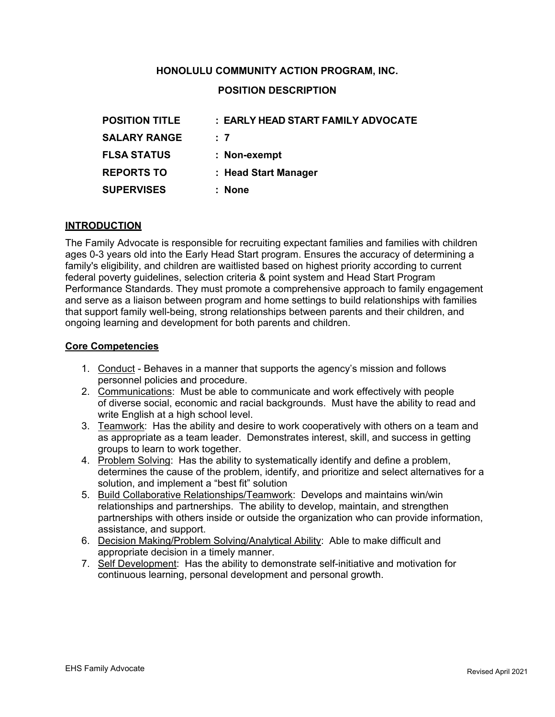# **HONOLULU COMMUNITY ACTION PROGRAM, INC.**

# **POSITION DESCRIPTION**

| <b>POSITION TITLE</b> | : EARLY HEAD START FAMILY ADVOCATE |
|-----------------------|------------------------------------|
| <b>SALARY RANGE</b>   | : 7                                |
| <b>FLSA STATUS</b>    | : Non-exempt                       |
| <b>REPORTS TO</b>     | : Head Start Manager               |
| <b>SUPERVISES</b>     | : None                             |

#### **INTRODUCTION**

The Family Advocate is responsible for recruiting expectant families and families with children ages 0-3 years old into the Early Head Start program. Ensures the accuracy of determining a family's eligibility, and children are waitlisted based on highest priority according to current federal poverty guidelines, selection criteria & point system and Head Start Program Performance Standards. They must promote a comprehensive approach to family engagement and serve as a liaison between program and home settings to build relationships with families that support family well-being, strong relationships between parents and their children, and ongoing learning and development for both parents and children.

#### **Core Competencies**

- 1. Conduct Behaves in a manner that supports the agency's mission and follows personnel policies and procedure.
- 2. Communications: Must be able to communicate and work effectively with people of diverse social, economic and racial backgrounds. Must have the ability to read and write English at a high school level.
- 3. Teamwork: Has the ability and desire to work cooperatively with others on a team and as appropriate as a team leader. Demonstrates interest, skill, and success in getting groups to learn to work together.
- 4. Problem Solving: Has the ability to systematically identify and define a problem, determines the cause of the problem, identify, and prioritize and select alternatives for a solution, and implement a "best fit" solution
- 5. Build Collaborative Relationships/Teamwork: Develops and maintains win/win relationships and partnerships. The ability to develop, maintain, and strengthen partnerships with others inside or outside the organization who can provide information, assistance, and support.
- 6. Decision Making/Problem Solving/Analytical Ability: Able to make difficult and appropriate decision in a timely manner.
- 7. Self Development: Has the ability to demonstrate self-initiative and motivation for continuous learning, personal development and personal growth.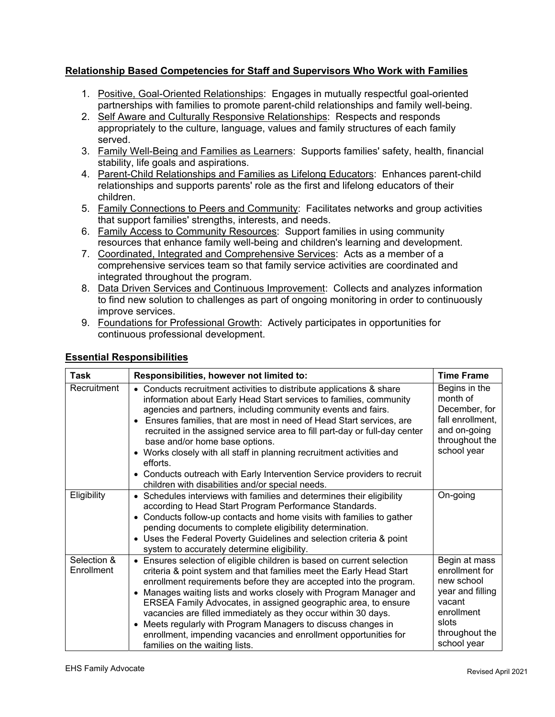## **Relationship Based Competencies for Staff and Supervisors Who Work with Families**

- 1. Positive, Goal-Oriented Relationships: Engages in mutually respectful goal-oriented partnerships with families to promote parent-child relationships and family well-being.
- 2. Self Aware and Culturally Responsive Relationships: Respects and responds appropriately to the culture, language, values and family structures of each family served.
- 3. Family Well-Being and Families as Learners: Supports families' safety, health, financial stability, life goals and aspirations.
- 4. Parent-Child Relationships and Families as Lifelong Educators: Enhances parent-child relationships and supports parents' role as the first and lifelong educators of their children.
- 5. Family Connections to Peers and Community: Facilitates networks and group activities that support families' strengths, interests, and needs.
- 6. Family Access to Community Resources: Support families in using community resources that enhance family well-being and children's learning and development.
- 7. Coordinated, Integrated and Comprehensive Services: Acts as a member of a comprehensive services team so that family service activities are coordinated and integrated throughout the program.
- 8. Data Driven Services and Continuous Improvement: Collects and analyzes information to find new solution to challenges as part of ongoing monitoring in order to continuously improve services.
- 9. Foundations for Professional Growth: Actively participates in opportunities for continuous professional development.

| Task                      | Responsibilities, however not limited to:                                                                                                                                                                                                                                                                                                                                                                                                                                                                                                                                                                              | <b>Time Frame</b>                                                                                                                   |
|---------------------------|------------------------------------------------------------------------------------------------------------------------------------------------------------------------------------------------------------------------------------------------------------------------------------------------------------------------------------------------------------------------------------------------------------------------------------------------------------------------------------------------------------------------------------------------------------------------------------------------------------------------|-------------------------------------------------------------------------------------------------------------------------------------|
| Recruitment               | • Conducts recruitment activities to distribute applications & share<br>information about Early Head Start services to families, community<br>agencies and partners, including community events and fairs.<br>Ensures families, that are most in need of Head Start services, are<br>recruited in the assigned service area to fill part-day or full-day center<br>base and/or home base options.<br>• Works closely with all staff in planning recruitment activities and<br>efforts.<br>• Conducts outreach with Early Intervention Service providers to recruit<br>children with disabilities and/or special needs. | Begins in the<br>month of<br>December, for<br>fall enrollment,<br>and on-going<br>throughout the<br>school year                     |
| Eligibility               | • Schedules interviews with families and determines their eligibility<br>according to Head Start Program Performance Standards.<br>• Conducts follow-up contacts and home visits with families to gather<br>pending documents to complete eligibility determination.<br>• Uses the Federal Poverty Guidelines and selection criteria & point<br>system to accurately determine eligibility.                                                                                                                                                                                                                            | On-going                                                                                                                            |
| Selection &<br>Enrollment | • Ensures selection of eligible children is based on current selection<br>criteria & point system and that families meet the Early Head Start<br>enrollment requirements before they are accepted into the program.<br>• Manages waiting lists and works closely with Program Manager and<br>ERSEA Family Advocates, in assigned geographic area, to ensure<br>vacancies are filled immediately as they occur within 30 days.<br>• Meets regularly with Program Managers to discuss changes in<br>enrollment, impending vacancies and enrollment opportunities for<br>families on the waiting lists.                   | Begin at mass<br>enrollment for<br>new school<br>year and filling<br>vacant<br>enrollment<br>slots<br>throughout the<br>school year |

# **Essential Responsibilities**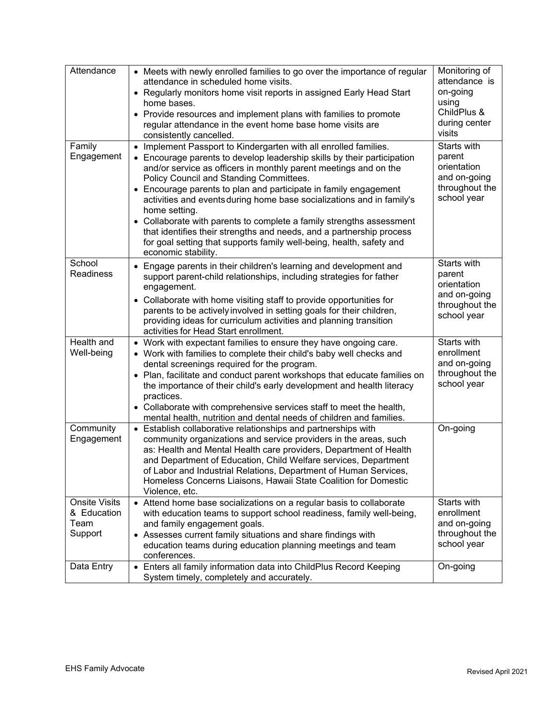| Attendance<br>Family                                   | • Meets with newly enrolled families to go over the importance of regular<br>attendance in scheduled home visits.<br>• Regularly monitors home visit reports in assigned Early Head Start<br>home bases.<br>• Provide resources and implement plans with families to promote<br>regular attendance in the event home base home visits are<br>consistently cancelled.                                                                                                                                                                                                                                                                                                    | Monitoring of<br>attendance is<br>on-going<br>using<br>ChildPlus &<br>during center<br>visits<br>Starts with |
|--------------------------------------------------------|-------------------------------------------------------------------------------------------------------------------------------------------------------------------------------------------------------------------------------------------------------------------------------------------------------------------------------------------------------------------------------------------------------------------------------------------------------------------------------------------------------------------------------------------------------------------------------------------------------------------------------------------------------------------------|--------------------------------------------------------------------------------------------------------------|
| Engagement                                             | • Implement Passport to Kindergarten with all enrolled families.<br>• Encourage parents to develop leadership skills by their participation<br>and/or service as officers in monthly parent meetings and on the<br>Policy Council and Standing Committees.<br>• Encourage parents to plan and participate in family engagement<br>activities and events during home base socializations and in family's<br>home setting.<br>• Collaborate with parents to complete a family strengths assessment<br>that identifies their strengths and needs, and a partnership process<br>for goal setting that supports family well-being, health, safety and<br>economic stability. | parent<br>orientation<br>and on-going<br>throughout the<br>school year                                       |
| School<br><b>Readiness</b>                             | • Engage parents in their children's learning and development and<br>support parent-child relationships, including strategies for father<br>engagement.<br>• Collaborate with home visiting staff to provide opportunities for<br>parents to be actively involved in setting goals for their children,<br>providing ideas for curriculum activities and planning transition<br>activities for Head Start enrollment.                                                                                                                                                                                                                                                    | Starts with<br>parent<br>orientation<br>and on-going<br>throughout the<br>school year                        |
| Health and<br>Well-being                               | • Work with expectant families to ensure they have ongoing care.<br>• Work with families to complete their child's baby well checks and<br>dental screenings required for the program.<br>• Plan, facilitate and conduct parent workshops that educate families on<br>the importance of their child's early development and health literacy<br>practices.<br>• Collaborate with comprehensive services staff to meet the health,<br>mental health, nutrition and dental needs of children and families.                                                                                                                                                                 | Starts with<br>enrollment<br>and on-going<br>throughout the<br>school year                                   |
| Community<br>Engagement                                | • Establish collaborative relationships and partnerships with<br>community organizations and service providers in the areas, such<br>as: Health and Mental Health care providers, Department of Health<br>and Department of Education, Child Welfare services, Department<br>of Labor and Industrial Relations, Department of Human Services,<br>Homeless Concerns Liaisons, Hawaii State Coalition for Domestic<br>Violence, etc.                                                                                                                                                                                                                                      | On-going                                                                                                     |
| <b>Onsite Visits</b><br>& Education<br>Team<br>Support | • Attend home base socializations on a regular basis to collaborate<br>with education teams to support school readiness, family well-being,<br>and family engagement goals.<br>• Assesses current family situations and share findings with<br>education teams during education planning meetings and team<br>conferences.                                                                                                                                                                                                                                                                                                                                              | Starts with<br>enrollment<br>and on-going<br>throughout the<br>school year                                   |
| Data Entry                                             | • Enters all family information data into ChildPlus Record Keeping<br>System timely, completely and accurately.                                                                                                                                                                                                                                                                                                                                                                                                                                                                                                                                                         | On-going                                                                                                     |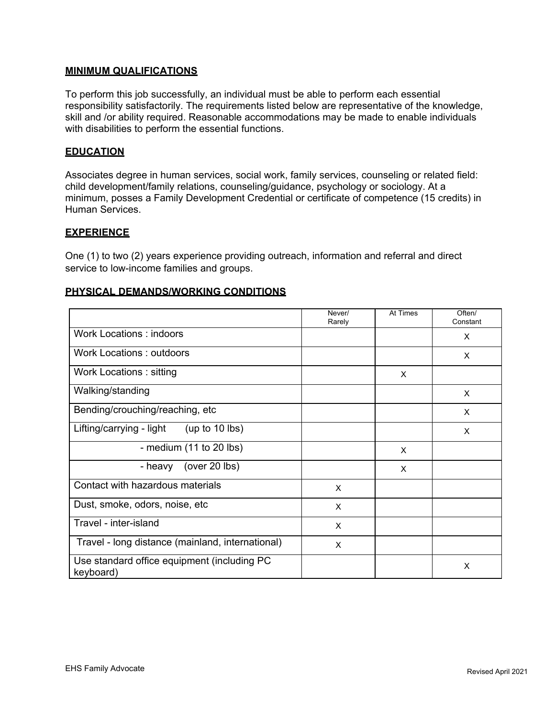#### **MINIMUM QUALIFICATIONS**

To perform this job successfully, an individual must be able to perform each essential responsibility satisfactorily. The requirements listed below are representative of the knowledge, skill and /or ability required. Reasonable accommodations may be made to enable individuals with disabilities to perform the essential functions.

### **EDUCATION**

Associates degree in human services, social work, family services, counseling or related field: child development/family relations, counseling/guidance, psychology or sociology. At a minimum, posses a Family Development Credential or certificate of competence (15 credits) in Human Services.

### **EXPERIENCE**

One (1) to two (2) years experience providing outreach, information and referral and direct service to low-income families and groups.

### **PHYSICAL DEMANDS/WORKING CONDITIONS**

|                                                          | Never/<br>Rarely | At Times | Often/<br>Constant |
|----------------------------------------------------------|------------------|----------|--------------------|
| <b>Work Locations: indoors</b>                           |                  |          | X                  |
| Work Locations: outdoors                                 |                  |          | X                  |
| Work Locations: sitting                                  |                  | $\times$ |                    |
| Walking/standing                                         |                  |          | X                  |
| Bending/crouching/reaching, etc                          |                  |          | $\times$           |
| Lifting/carrying - light<br>(up to $10$ lbs)             |                  |          | X                  |
| - medium $(11$ to 20 lbs)                                |                  | X        |                    |
| (over $20$ lbs)<br>- heavy                               |                  | $\times$ |                    |
| Contact with hazardous materials                         | $\times$         |          |                    |
| Dust, smoke, odors, noise, etc.                          | X                |          |                    |
| Travel - inter-island                                    | X                |          |                    |
| Travel - long distance (mainland, international)         | X                |          |                    |
| Use standard office equipment (including PC<br>keyboard) |                  |          | X                  |